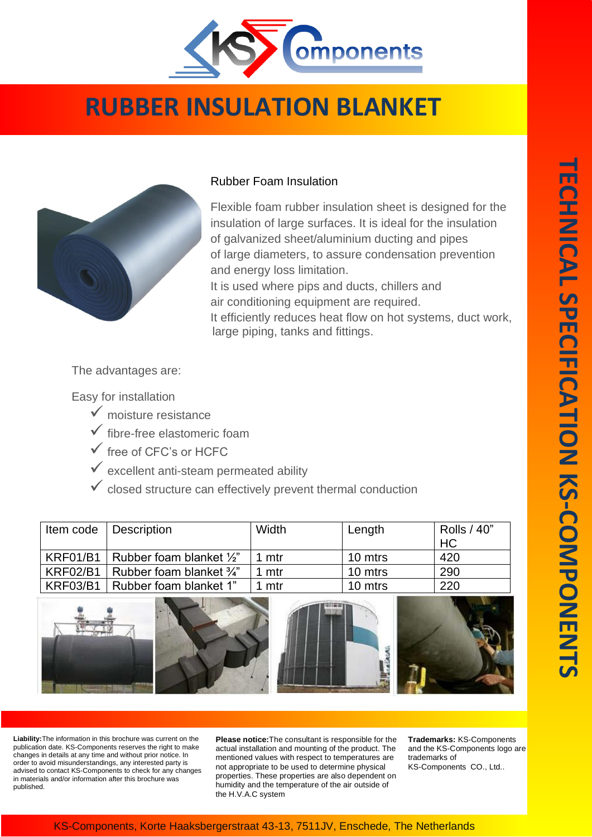

## **RUBBER INSULATION BLANKET**



## Rubber Foam Insulation

Flexible foam rubber insulation sheet is designed for the insulation of large surfaces. It is ideal for the insulation of galvanized sheet/aluminium ducting and pipes of large diameters, to assure condensation prevention and energy loss limitation. It is used where pips and ducts, chillers and air conditioning equipment are required. It efficiently reduces heat flow on hot systems, duct work, large piping, tanks and fittings.

The advantages are:

Easy for installation

- $\checkmark$  moisture resistance
- $\checkmark$  fibre-free elastomeric foam
- $\checkmark$  free of CFC's or HCFC
- $\checkmark$  excellent anti-steam permeated ability
- $\checkmark$  closed structure can effectively prevent thermal conduction

|                 | Item code   Description             | Width | Length  | Rolls / 40" |
|-----------------|-------------------------------------|-------|---------|-------------|
|                 |                                     |       |         | HC          |
| <b>KRF01/B1</b> | Rubber foam blanket $\frac{1}{2}$ " | 1 mtr | 10 mtrs | 420         |
| <b>KRF02/B1</b> | Rubber foam blanket $\frac{3}{4}$ " | 1 mtr | 10 mtrs | 290         |
| <b>KRF03/B1</b> | Rubber foam blanket 1"              | 1 mtr | 10 mtrs | 220         |









**Liability:**The information in this brochure was current on the publication date. KS-Components reserves the right to make changes in details at any time and without prior notice. In order to avoid misunderstandings, any interested party is advised to contact KS-Components to check for any changes in materials and/or information after this brochure was published.

**Please notice:**The consultant is responsible for the actual installation and mounting of the product. The mentioned values with respect to temperatures are not appropriate to be used to determine physical properties. These properties are also dependent on humidity and the temperature of the air outside of the H.V.A.C system

**Trademarks:** KS-Components and the KS-Components logo are trademarks of KS-Components CO., Ltd..